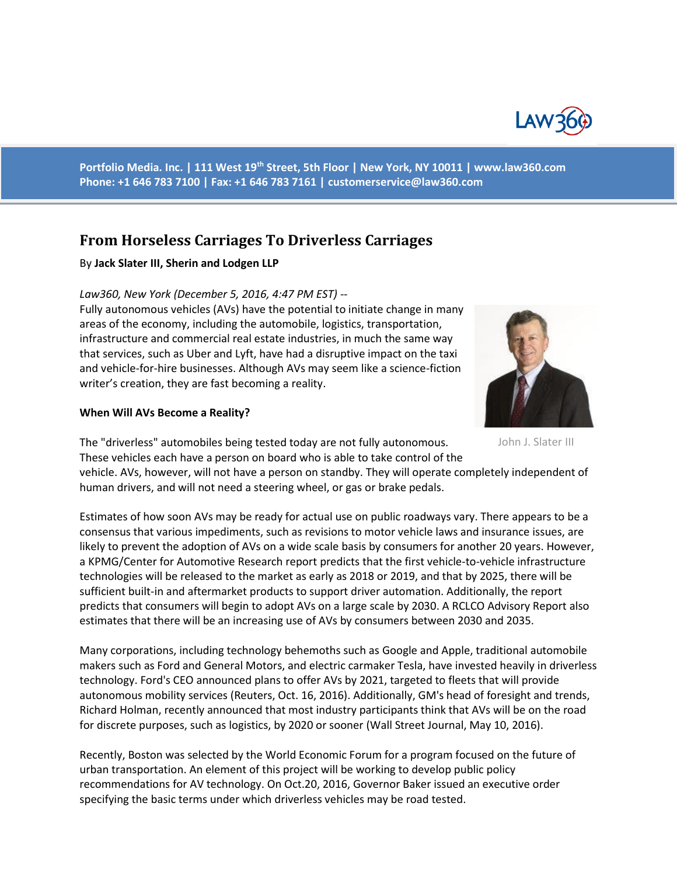

**Portfolio Media. Inc. | 111 West 19th Street, 5th Floor | New York, NY 10011 | www.law360.com Phone: +1 646 783 7100 | Fax: +1 646 783 7161 | [customerservice@law360.com](mailto:customerservice@law360.com)**

# **From Horseless Carriages To Driverless Carriages**

#### By **Jack Slater III, Sherin and Lodgen LLP**

#### *Law360, New York (December 5, 2016, 4:47 PM EST) --*

Fully autonomous vehicles (AVs) have the potential to initiate change in many areas of the economy, including the automobile, logistics, transportation, infrastructure and commercial real estate industries, in much the same way that services, such as Uber and Lyft, have had a disruptive impact on the taxi and vehicle-for-hire businesses. Although AVs may seem like a science-fiction writer's creation, they are fast becoming a reality.

#### **When Will AVs Become a Reality?**

The "driverless" automobiles being tested today are not fully autonomous. These vehicles each have a person on board who is able to take control of the

vehicle. AVs, however, will not have a person on standby. They will operate completely independent of human drivers, and will not need a steering wheel, or gas or brake pedals.

Estimates of how soon AVs may be ready for actual use on public roadways vary. There appears to be a consensus that various impediments, such as revisions to motor vehicle laws and insurance issues, are likely to prevent the adoption of AVs on a wide scale basis by consumers for another 20 years. However, a KPMG/Center for Automotive Research report predicts that the first vehicle-to-vehicle infrastructure technologies will be released to the market as early as 2018 or 2019, and that by 2025, there will be sufficient built-in and aftermarket products to support driver automation. Additionally, the report predicts that consumers will begin to adopt AVs on a large scale by 2030. A RCLCO Advisory Report also estimates that there will be an increasing use of AVs by consumers between 2030 and 2035.

Many corporations, including technology behemoths such as Google and Apple, traditional automobile makers such as Ford and General Motors, and electric carmaker Tesla, have invested heavily in driverless technology. Ford's CEO announced plans to offer AVs by 2021, targeted to fleets that will provide autonomous mobility services (Reuters, Oct. 16, 2016). Additionally, GM's head of foresight and trends, Richard Holman, recently announced that most industry participants think that AVs will be on the road for discrete purposes, such as logistics, by 2020 or sooner (Wall Street Journal, May 10, 2016).

Recently, Boston was selected by the World Economic Forum for a program focused on the future of urban transportation. An element of this project will be working to develop public policy recommendations for AV technology. On Oct.20, 2016, Governor Baker issued an executive order specifying the basic terms under which driverless vehicles may be road tested.



John J. Slater III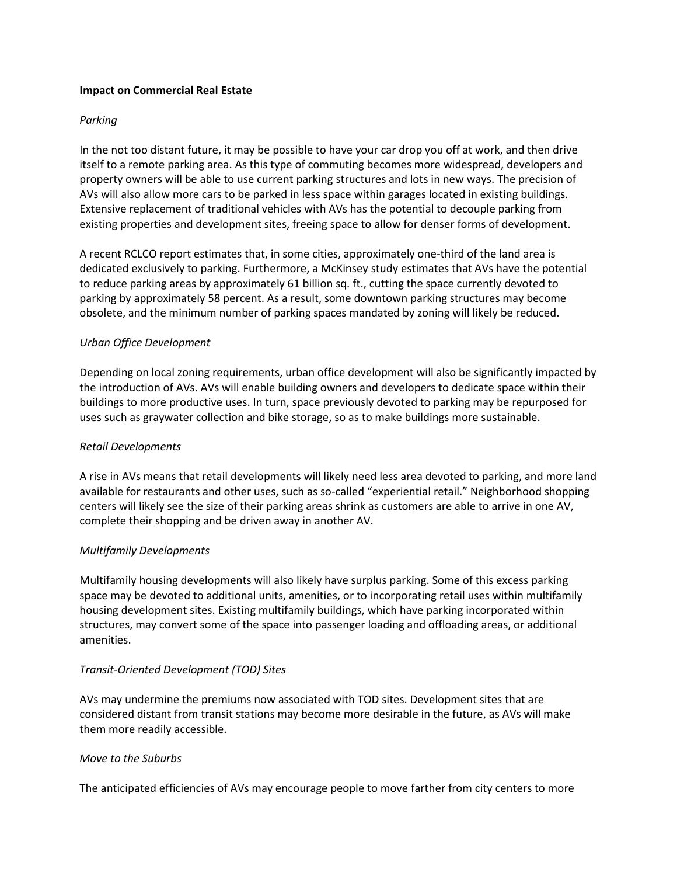## **Impact on Commercial Real Estate**

### *Parking*

In the not too distant future, it may be possible to have your car drop you off at work, and then drive itself to a remote parking area. As this type of commuting becomes more widespread, developers and property owners will be able to use current parking structures and lots in new ways. The precision of AVs will also allow more cars to be parked in less space within garages located in existing buildings. Extensive replacement of traditional vehicles with AVs has the potential to decouple parking from existing properties and development sites, freeing space to allow for denser forms of development.

A recent RCLCO report estimates that, in some cities, approximately one-third of the land area is dedicated exclusively to parking. Furthermore, a McKinsey study estimates that AVs have the potential to reduce parking areas by approximately 61 billion sq. ft., cutting the space currently devoted to parking by approximately 58 percent. As a result, some downtown parking structures may become obsolete, and the minimum number of parking spaces mandated by zoning will likely be reduced.

### *Urban Office Development*

Depending on local zoning requirements, urban office development will also be significantly impacted by the introduction of AVs. AVs will enable building owners and developers to dedicate space within their buildings to more productive uses. In turn, space previously devoted to parking may be repurposed for uses such as graywater collection and bike storage, so as to make buildings more sustainable.

#### *Retail Developments*

A rise in AVs means that retail developments will likely need less area devoted to parking, and more land available for restaurants and other uses, such as so-called "experiential retail." Neighborhood shopping centers will likely see the size of their parking areas shrink as customers are able to arrive in one AV, complete their shopping and be driven away in another AV.

## *Multifamily Developments*

Multifamily housing developments will also likely have surplus parking. Some of this excess parking space may be devoted to additional units, amenities, or to incorporating retail uses within multifamily housing development sites. Existing multifamily buildings, which have parking incorporated within structures, may convert some of the space into passenger loading and offloading areas, or additional amenities.

## *Transit-Oriented Development (TOD) Sites*

AVs may undermine the premiums now associated with TOD sites. Development sites that are considered distant from transit stations may become more desirable in the future, as AVs will make them more readily accessible.

#### *Move to the Suburbs*

The anticipated efficiencies of AVs may encourage people to move farther from city centers to more